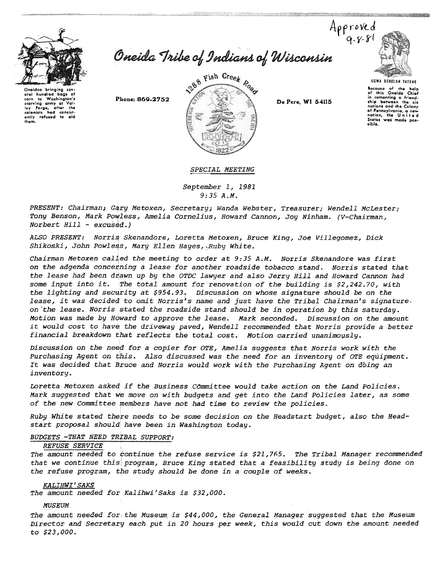

Oneidas bringing oral hundred bogs of<br>corn to Washington's starving army at Val-<br>Iey Forge, after the<br>colonists hod consistently refused to aid them.

Oneida Tribe of Indians of Wisconsin

1288 Fish Creek Road Phone: 869-2752 **De Pere, WI 54115** 



SYRUCUS 25 PERCENTAGE ACADEMICA

UGWA DEHOlUH YATEHE

Because of the help<br>of this Oneida Chief in comonting a friend<br>ship botweon the six nations and the Colony of Pennsylvania, a new<br>nation, the United States was made pos-.iblo.

SPECIAL MEETING

September 1,1981 9:35 A.M.

PRESENT: Chairman; G4ry Metoxen, Secretary; Wanda Webster, Treasurer; Wendell McLester; Tony Benson, Mark Powless, Amelia Cornelius, Howard Cannon, Joy Ninham. (V-Chairman,  $Norbert$   $Hill$  -  $excused.$ )

ALSO PRESENT: Norris Skenandore, Loretta Metoxen, Bruce King, Joe Villegomez, Dick Shikoski, John Powless, Mary Ellen Hayes, Ruby White.

Chairman Metoxen called the meeting to order at 9:35 A.M. Norris Skenandore was first on the adgenda concerning a lease for another roadside tobacco stand. Norris stated that the lease had been drawn up by the OTDC lawyer and also Jerry Hill and Howard Cannon had some input into it. The total amount for renovation of the building is  $$2,242.70$ , with the lighting and security at  $$954.93$ . Discussion on whose signature should be on the lease, it was decided to omit Norris's name and just have the Tribal Chairman's signatureon-the lease. Norris stated the roadside stand should be in operation by this saturday. Motion was made by Howard to approve the lease. Mark seconded. Discussion on the amount it would cost to have the driveway paved, Wendell recommended that Norris provide a better financial breakdown that reflects the total cost. Motion carried unanimously.

Discussion on the need for a copier for OTE, Amelia suggests that Norris work with the Purchasing Agent on this. Also discussed was the need for an inventory of OTE equipment. It was decided that Bruce and Norris would work with the purchasing Agent on doing an inventory.

Loretta Metoxen asked if the Business Committee would take action on the Land Policies. Mark suggested that we move on with budgets and get into the Land Policies later, as some of the new Committee rembers have not had time to review the policies.

Ruby White stated there needs to be some decision on the Headstart budget, also the Headstart proposal should have been in Washington today.

### BUDGETS -THAT NEED TRIBAL SUPPORT:

### **REFUSE SERVICE**

The amount needed to bontinue the refuse service is \$21,765. The Tribal Manager recommended that we continue this program, Bruce King stated that a feasibility study is being done on the refuse program, the study should be done in a couple of weeks.

#### KALIHWI' SAKS

The amount needed for Kalihwi'Saks is \$32,000.

#### MUSEUM

The amount needed for the Museum is  $$44,000$ , the General Manager suggested that the Museum Director and Secretary each put in 20 hours per week, this would cut down the amount needed to \$23,000.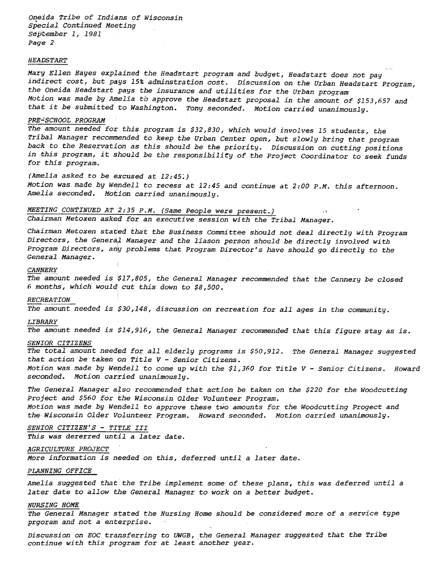Oneida Tribe of Indians of Wisconsin Special Continued Meeting September 1, 1981 Page 2

#### HEADSTART

Mary Ellen Hayes explained the Headstart program and budget, Headstart does not pay indirect cost, but pays 15% adminstration cost. Discussion on the Urban Headstart Program, the Oneida Headstart pays the insurance and utilities for the Urban program Motion was made by Amelia to approve the Headstart proposal in the amount of \$153,657 and that it be submitted to Washington. Tony seconded. Motion carried unanimously.

.

#### PRE-SCHOOL PROGRAM

The amount needed for this program is \$32,830, which would involves 15 students, the Tribal Manager recommended to keep the Urban Center open, but slowly bring that program back to the Reservation as this should be the priority. Discussion on cutting positions in this program, it should be the responsibility of the Project Coordinator to seek funds for this program.

## (Amelia asked to be excused at 12:45:)

Motion was made by Wendell to recess at 12:45 and continue at 2:00 P.M. this afternoon. Amelia seconded. Motion carried unanimously.

# MEETING CONTINUED AT  $2:35$  P.M. (Same People were present.)

Chairman Metoxen asked for an executive session with the Tribal Manager.

Chairman Metoxen stated that the Business Committee should not deal directly with Program Directors, the General Manager and the liason person should be directly involved wit Program Directors, aniy problems that Program Director's have should go directly to the General Manager.

#### **CANNERY**

The amount needed is  $$17$ ,805, the General Manager recommended that the Cannery be closed 6 months, which would cut this down to  $$8,500$ .

#### RECREATION

The amount needed is \$30,148, discussion on recreation for all ages in the community.

#### LIBRARY

The amount needed is \$14,916, the General Manager recommended that this figure stay as is.

#### SENIOR CITIZENS

The total amount needed for all elderly programs is \$50,912. The General Manager suggested that action be taken on Title  $V$  - Senior Citizens.

Motion was made by Wendell to come up with the \$1,360 for Title V - Senior Citizens. Howard seconded. Motion carried unanimously.

The General Manager also recommended that action be taken on the \$220 for the Woodcutting Project and \$560 for the Wisconsin Older Volunteer Program. Motion was made by Wendell to approve these two amounts for the Woodcutting Progect and the Wisconsin Older Volunteer Program. Howard seconded. Motion carried unanimously.

# SENIOR CITIZEN'S - TITLE III

This was dererred until a later date.

## AGRICULTURE PROJECT

More information is needed on this, deferred until a later date.

#### PLANNING OFFICE

Amelia suggested that the Tribe implement some of these plans, this was deferred until a later date to allow the General Manager to work on a better budget.

#### NURSING HOME

The General Manager stated the Nursing Home should be considered more of a service type prgoram and not a enterprise.

Discussion on EOC transferring to UWGB, the General Manager suggested that the Tribe continue with this program for at least another year.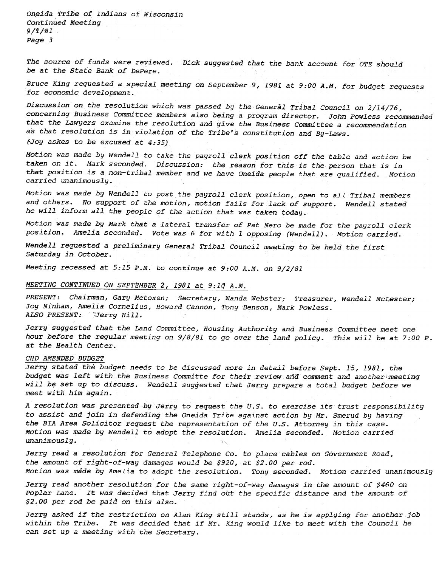Oneida Tribe of Indians of Wisconsin Continued Meeting  $9/1/81$ Page 3

The source of funds were reviewed. Dick suggested that the bank account for OTE should be at the State Bank of DePere.

Bruce King requested a special meeting on September 9, 1981 at 9:00 A.M. for budget requests for economic development.

Discussion on the resolution which was passed by the General Tribal Council on 2/14/76, concerning Business Committee members also being a program director. John Powless recommended that the Lawyers examine the resolution and give the Business Committee a recommendation as that resolution is in violation of the Tribe's constitution and By-Laws.

(Joy askes to be excused at  $4:35$ )

Motion was made by Wendell to take the payroll clerk position off the table and action be taken on it. Mark seconded. Discussion: the reason for this is the person that is in that position is a non-tribal member and we have Oneida people that are qualified. Motion carried unanimously.

Motion was made by Wendell to post the payroll clerk position, open to all Tribal members and others. No support of the motion, motion fails for lack of support. Wendell stated he will inform all the people of the action that was taken today.

Motion was made by Mark that a lateral transfer of Pat Nero be made for the payroll clerk position. Amelia seconded. Vote was 6 for with 1 opposing (Wendell). Motion carried.

Wendell requested a preliminary General Tribal Council meeting to be held the first Saturday in October.

Meeting recessed at  $5:15$  P.M. to continue at  $9:00$  A.M. on  $9/2/81$ 

## MEETING CONTINUED ON SEPTEMBER 2, 1981 at  $9:10$  A.M.

PRESENT: Chairman, Gary Metoxen; Secretary, Wanda Webster; Treasurer, Wendell McLester; Jou Ninham, Amelia Cornelius, Howard Cannon, Tony Benson, Mark Powless. ALSO PRESENT: Jerry Hill.

Jerry suggested that the Land Committee, Housing Authority and Business Committee meet one hour before the regular meeting on 9/8/81 to go over the land policy. This will be at 7:00 P. at the Health Center.

#### CHD AMENDED BUDGET

Jerry stated the budget needs to be discussed more in detail before Sept. 15, 1981, the budget was left with the Business Committe for their review and comment and another;meeting will be set up to discuss. Wendell suggested that Jerry prepare a total budget before we meet with him again.

A resolution was presented by Jerry to request the U.S. to exercise its trust responsibility to assist and join in defending the Oneida Tribe against action by Mr. Smerud by having the BIA Area Solicitor request the representation of the U.S. Attorney in this case. Motion was made by Wendell to adopt the resolution. Amelia seconded. Motion carried unanimously. -,

Jerry read a resolution for General Telephone Co. to place cables on Government Road, the amount of right-of-way damages would be \$920, at \$2.00 per rod. Motion was made by Amelia to adopt the resolution. Tony seconded. Motion carried unanimously

Jerry read another resolution for the same right-of-way damages in the amount of \$460 on Poplar Lane. It was decided that Jerry find out the specific distance and the amount of \$2.00 per rod be paid on this also.

Jerry asked if the restriction on Alan King still stands, as he is applying for another job within the Tribe. It was decided that if Mr. King would like to meet with the Council he can set up a meeting with the Secretary.